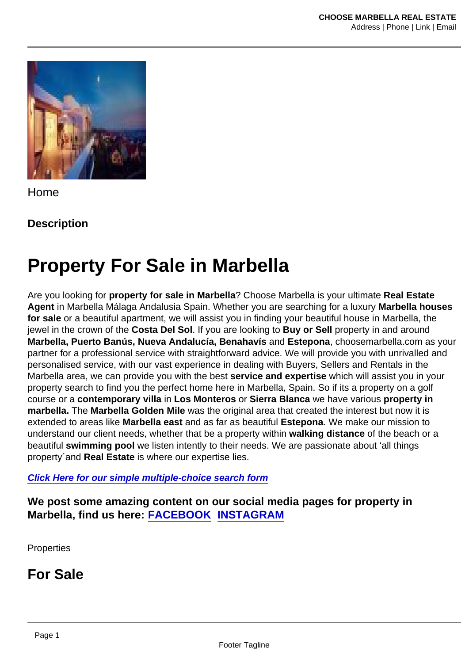Home

**Description** 

# Property For Sale in Marbella

Are you looking for property for sale in Marbella ? Choose Marbella is your ultimate Real Estate Agent in Marbella Málaga Andalusia Spain. Whether you are searching for a luxury Marbella houses for sale or a beautiful apartment, we will assist you in finding your beautiful house in Marbella, the jewel in the crown of the Costa Del Sol . If you are looking to Buy or Sell property in and around Marbella, Puerto Banús, Nueva Andalucía, Benahavís and Estepona , choosemarbella.com as your partner for a professional service with straightforward advice. We will provide you with unrivalled and personalised service, with our vast experience in dealing with Buyers, Sellers and Rentals in the Marbella area, we can provide you with the best service and expertise which will assist you in your property search to find you the perfect home here in Marbella, Spain. So if its a property on a golf course or a contemporary villa in Los Monteros or Sierra Blanca we have various property in marbella. The Marbella Golden Mile was the original area that created the interest but now it is extended to areas like Marbella east and as far as beautiful Estepona . We make our mission to understand our client needs, whether that be a property within walking distance of the beach or a beautiful swimming pool we listen intently to their needs. We are passionate about 'all things property´and Real Estate is where our expertise lies.

[Click Here for our simple multiple-choice search form](https://choosemarbella.com/property-requirements/)

We post some amazing content on our social media pages for property in Marbella, find us here: [FACEBOOK](https://www.facebook.com/choosemarbellarealestate) [INSTAGRAM](https://www.instagram.com/choose.marbella/)

**Properties** 

For Sale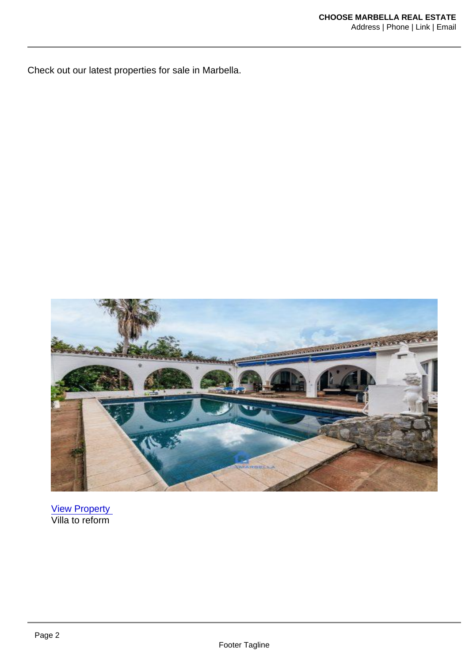Check out our latest properties for sale in Marbella.

[View Property](https://choosemarbella.com/property/villa-don-pedro-estepona/)  Villa to reform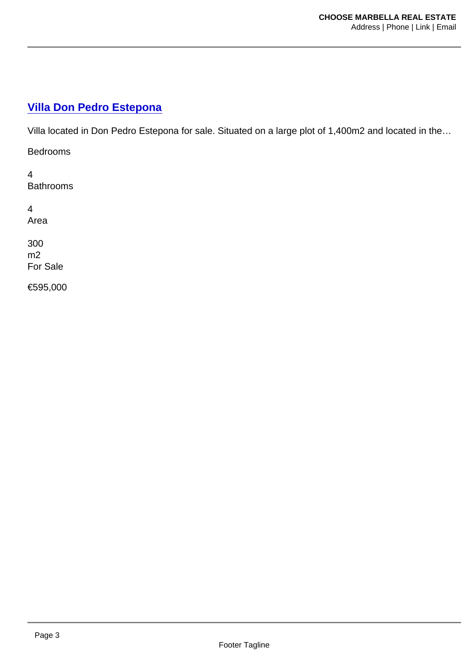#### [Villa Don Pedro Estepona](https://choosemarbella.com/property/villa-don-pedro-estepona/)

Villa located in Don Pedro Estepona for sale. Situated on a large plot of 1,400m2 and located in the…

Bedrooms

4 **Bathrooms** 

4 Area

300 m2 For Sale

€595,000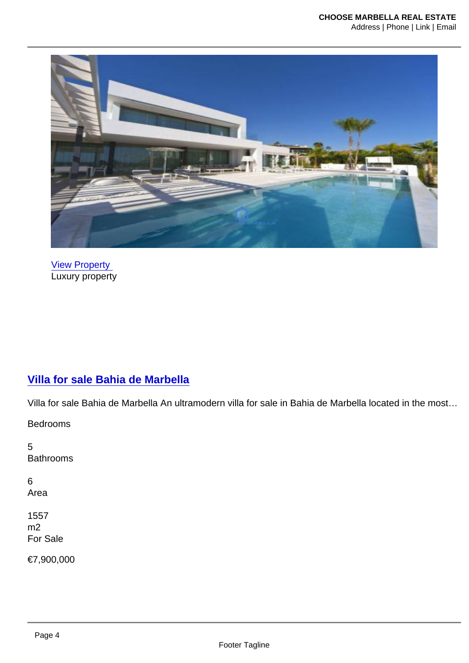[View Property](https://choosemarbella.com/property/villa-for-sale-bahia-de-marbella/)  Luxury property

#### [Villa for sale Bahia de Marbella](https://choosemarbella.com/property/villa-for-sale-bahia-de-marbella/)

Villa for sale Bahia de Marbella An ultramodern villa for sale in Bahia de Marbella located in the most…

Bedrooms

5 Bathrooms

6 Area

1557 m2 For Sale

€7,900,000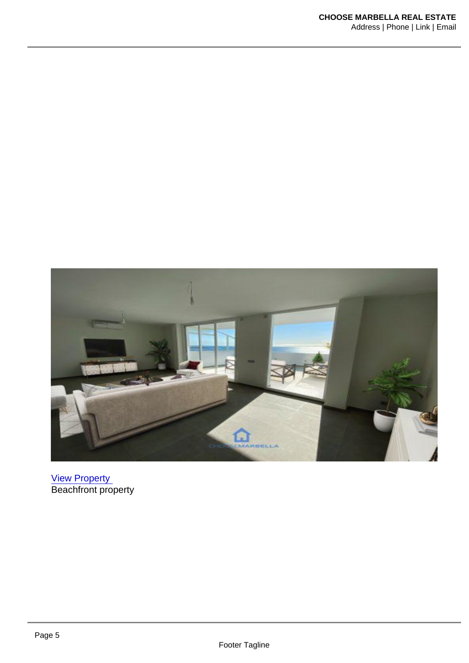[View Property](https://choosemarbella.com/property/bahia-de-estepona-3-bedroom-penthouse/)  Beachfront property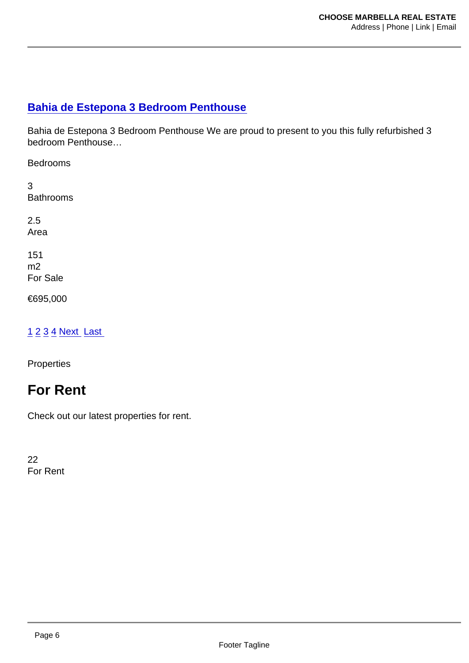#### [Bahia de Estepona 3 Bedroom Penthouse](https://choosemarbella.com/property/bahia-de-estepona-3-bedroom-penthouse/)

Bahia de Estepona 3 Bedroom Penthouse We are proud to present to you this fully refurbished 3 bedroom Penthouse…

Bedrooms

3 Bathrooms

2.5 Area

151 m2 For Sale

€695,000

#### [1](https://choosemarbella.com/wp-admin/admin-ajax.php) [2](https://choosemarbella.com/wp-admin/admin-ajax.php?paged=2) [3](https://choosemarbella.com/wp-admin/admin-ajax.php?paged=3) [4](https://choosemarbella.com/wp-admin/admin-ajax.php?paged=4) [Next](https://choosemarbella.com/wp-admin/admin-ajax.php?paged=2) [Last](https://choosemarbella.com/wp-admin/admin-ajax.php?paged=63)

**Properties** 

# For Rent

Check out our latest properties for rent.

22 For Rent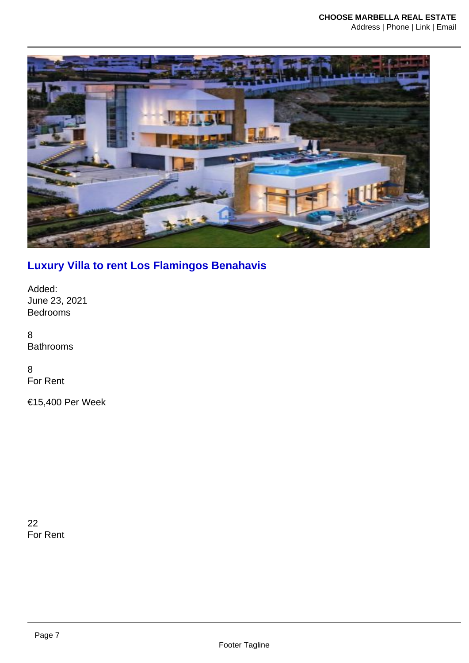### [Luxury Villa to rent Los Flamingos Benahavis](https://choosemarbella.com/property/luxury-villa-to-rent-los-flamingos-benahavis/)

Added: June 23, 2021 Bedrooms

8 Bathrooms

8 For Rent

€15,400 Per Week

22 For Rent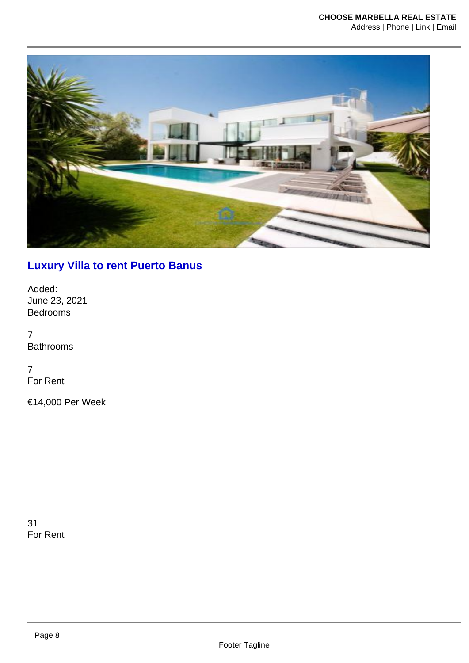### [Luxury Villa to rent Puerto Banus](https://choosemarbella.com/property/luxury-villa-to-rent-puerto-banus/)

Added: June 23, 2021 Bedrooms

7 Bathrooms

7 For Rent

€14,000 Per Week

31 For Rent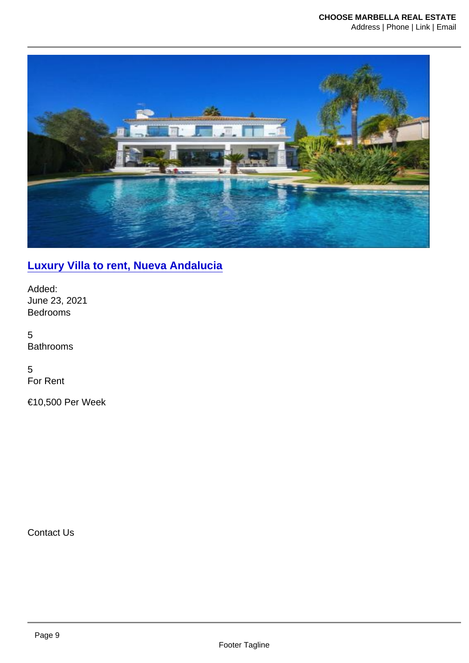### [Luxury Villa to rent, Nueva Andalucia](https://choosemarbella.com/property/luxury-villa-to-rent-nueva-andalucia/)

Added: June 23, 2021 Bedrooms

5 Bathrooms

5 For Rent

€10,500 Per Week

Contact Us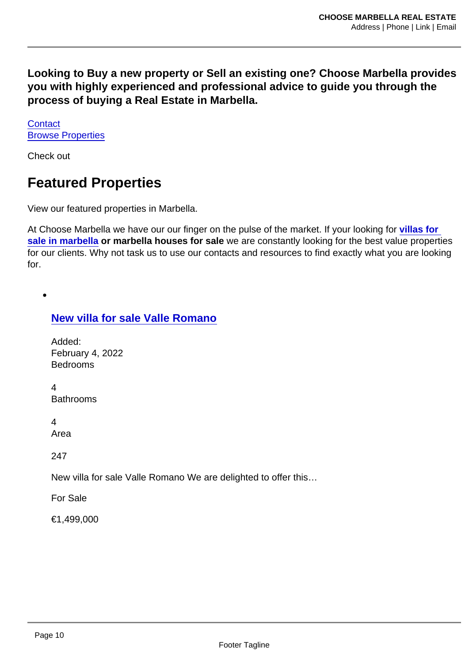Looking to Buy a new property or Sell an existing one? Choose Marbella provides you with highly experienced and professional advice to guide you through the process of buying a Real Estate in Marbella.

**[Contact](https://choosemarbella.com/contact-us/)** [Browse Properties](https://choosemarbella.com/properties-search/)

Check out

# Featured Properties

View our featured properties in Marbella.

At Choose Marbella we have our our finger on the pulse of the market. If your looking for [villas for](https://choosemarbella.com/villas-for-sale-in-marbella/)  [sale in marbella](https://choosemarbella.com/villas-for-sale-in-marbella/) or marbella houses for sale we are constantly looking for the best value properties for our clients. Why not task us to use our contacts and resources to find exactly what you are looking for.

[New villa for sale Valle Romano](https://choosemarbella.com/property/new-villa-for-sale-valle-romano/)

Added: February 4, 2022 Bedrooms

 $\overline{\mathbf{A}}$ Bathrooms

4

Area

247

New villa for sale Valle Romano We are delighted to offer this…

For Sale

€1,499,000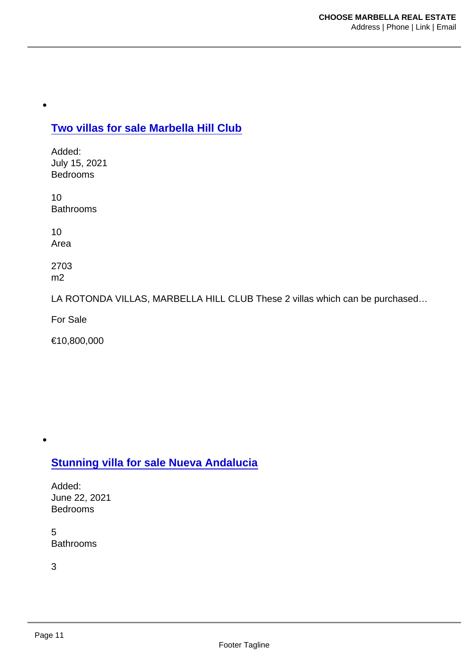[Two villas for sale Marbella Hill Club](https://choosemarbella.com/property/two-villas-for-sale-marbella-hill-club/)

Added: July 15, 2021 Bedrooms

10 Bathrooms

10 Area

2703 m2

LA ROTONDA VILLAS, MARBELLA HILL CLUB These 2 villas which can be purchased…

For Sale

€10,800,000

[Stunning villa for sale Nueva Andalucia](https://choosemarbella.com/property/stunning-villa-for-sale-nueva-andalucia/)

Added: June 22, 2021 Bedrooms

5 Bathrooms

3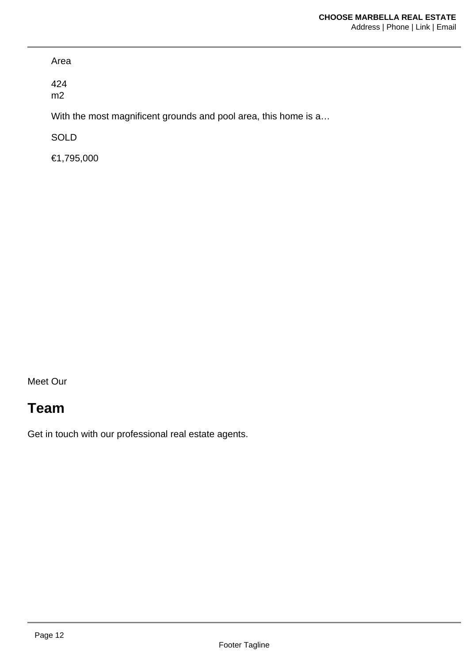Area

424 m2

With the most magnificent grounds and pool area, this home is a...

SOLD

€1,795,000

Meet Our

# Team

Get in touch with our professional real estate agents.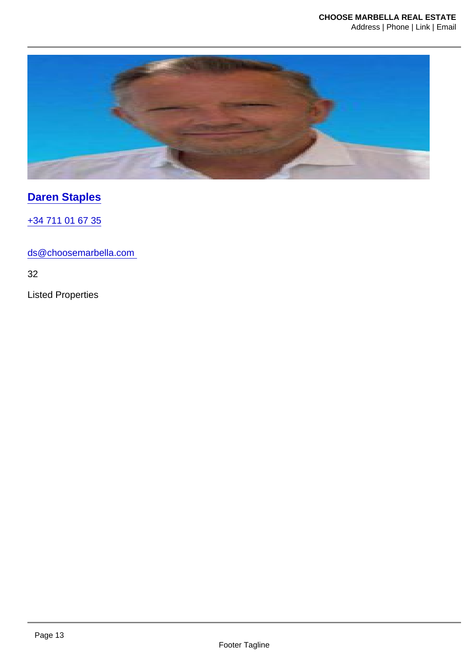[Daren Staples](https://choosemarbella.com/agent/daren-staples/)

[+34 711 01 67 35](tel:+34 711 01 67 35)

ds@choosemarbella.com

32

Listed Properties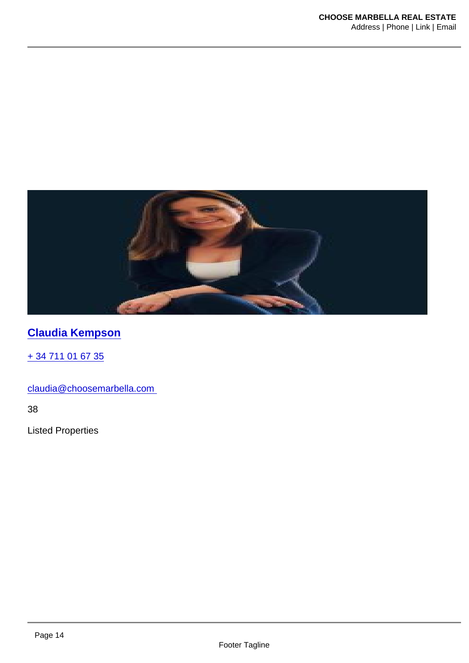[Claudia Kempson](https://choosemarbella.com/agent/claudia-kempson/)

[+ 34 711 01 67 35](tel:+ 34 711 01 67 35)

claudia@choosemarbella.com

38

Listed Properties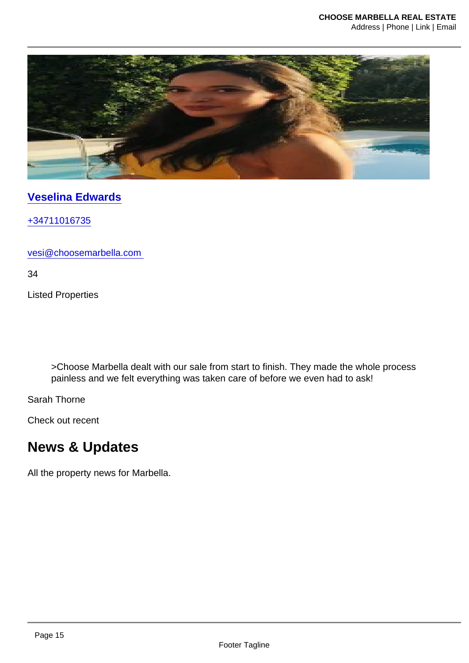[Veselina Edwards](https://choosemarbella.com/agent/veselina-vasileva/)

[+34711016735](tel:+34711016735)

vesi@choosemarbella.com

34

Listed Properties

>Choose Marbella dealt with our sale from start to finish. They made the whole process painless and we felt everything was taken care of before we even had to ask!

Sarah Thorne

Check out recent

# News & Updates

All the property news for Marbella.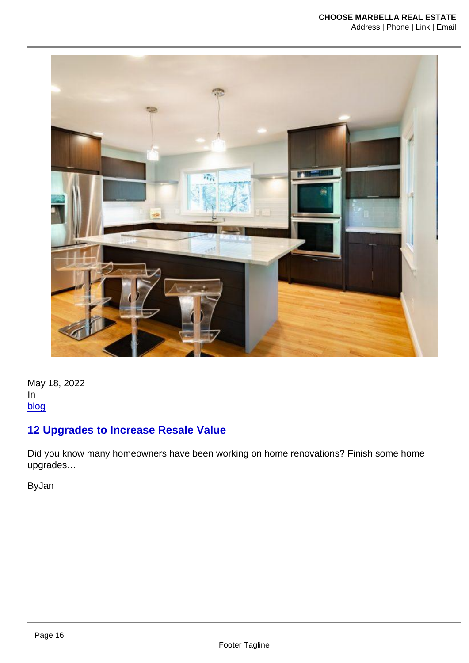May 18, 2022 In [blog](https://choosemarbella.com/category/blog/)

[12 Upgrades to Increase Resale Value](https://choosemarbella.com/12-upgrades-to-increase-resale-value/)

Did you know many homeowners have been working on home renovations? Finish some home upgrades…

ByJan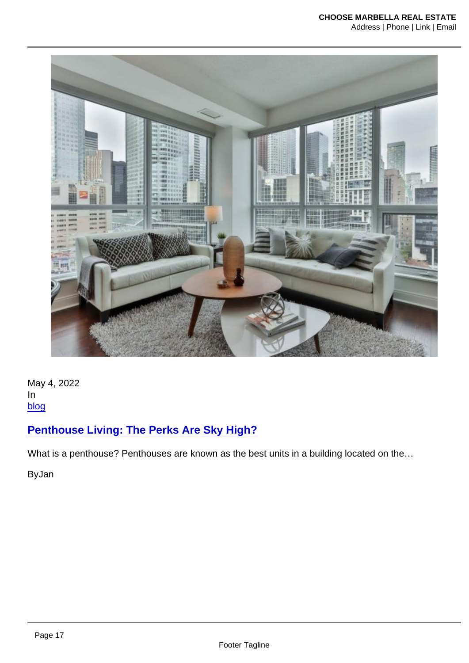May 4, 2022 In [blog](https://choosemarbella.com/category/blog/)

[Penthouse Living: The Perks Are Sky High?](https://choosemarbella.com/penthouse-living-the-perks-are-sky-high￼/)

What is a penthouse? Penthouses are known as the best units in a building located on the...

ByJan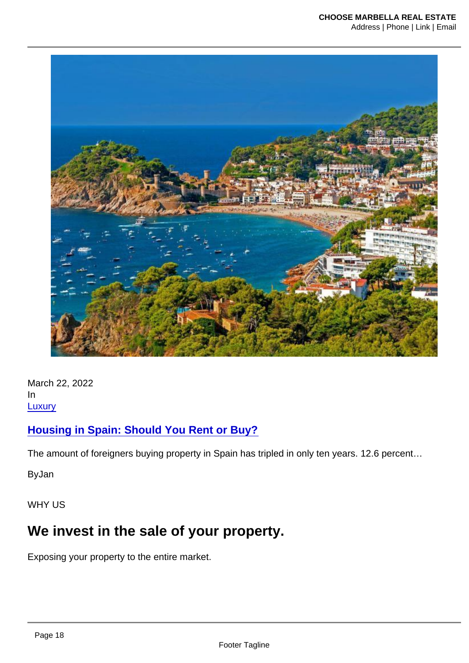March 22, 2022 In **[Luxury](https://choosemarbella.com/category/luxury/)** 

[Housing in Spain: Should You Rent or Buy?](https://choosemarbella.com/housing-in-spain-should-you-rent-or-buy/)

The amount of foreigners buying property in Spain has tripled in only ten years. 12.6 percent…

ByJan

WHY US

# We invest in the sale of your property.

Exposing your property to the entire market.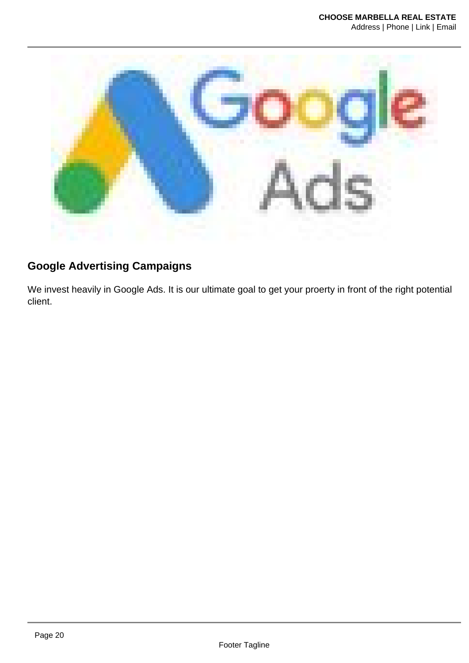

### **Google Advertising Campaigns**

We invest heavily in Google Ads. It is our ultimate goal to get your proerty in front of the right potential client.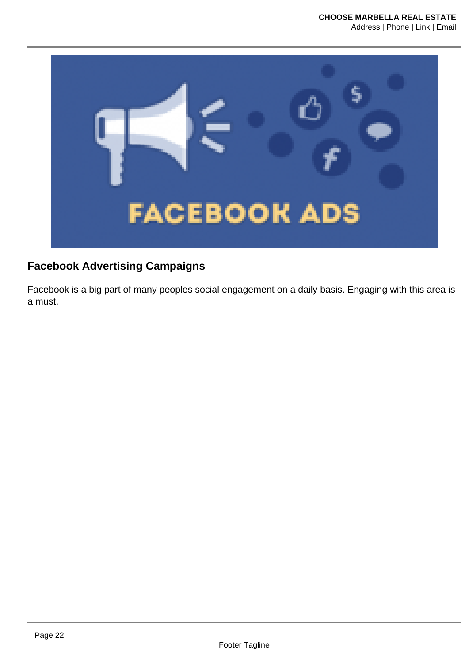

### **Facebook Advertising Campaigns**

Facebook is a big part of many peoples social engagement on a daily basis. Engaging with this area is a must.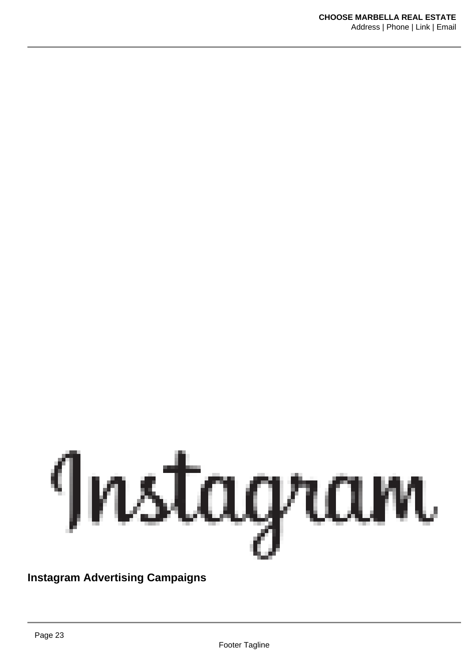

#### **Instagram Advertising Campaigns**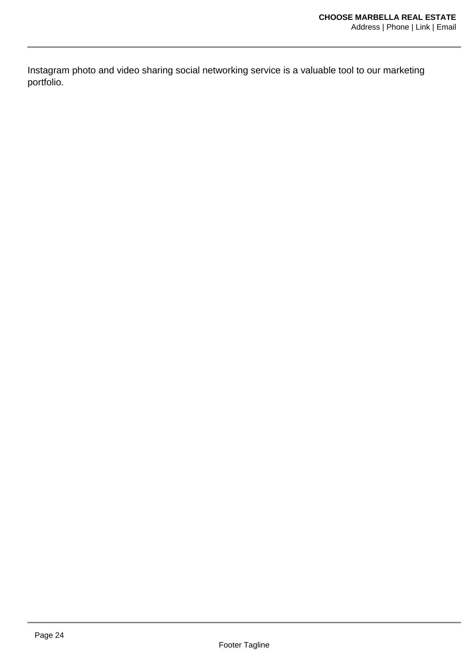Instagram photo and video sharing social networking service is a valuable tool to our marketing portfolio.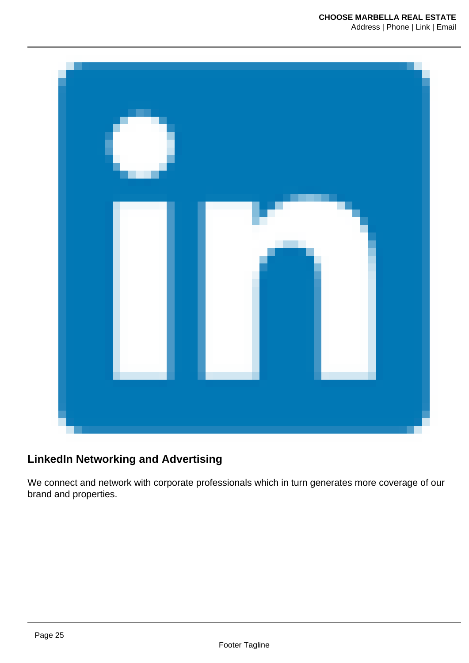

#### **LinkedIn Networking and Advertising**

We connect and network with corporate professionals which in turn generates more coverage of our brand and properties.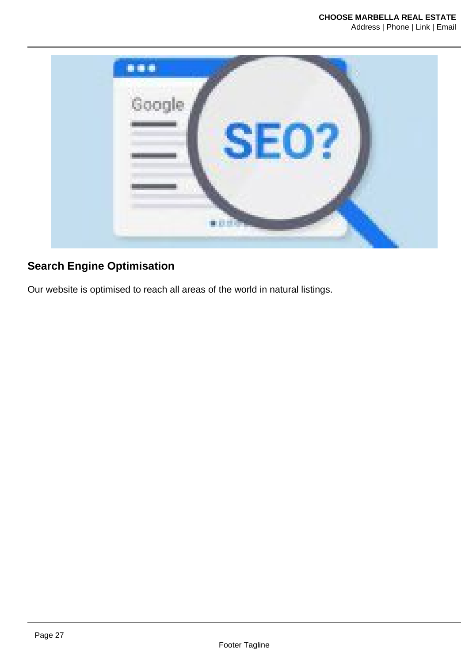

### **Search Engine Optimisation**

Our website is optimised to reach all areas of the world in natural listings.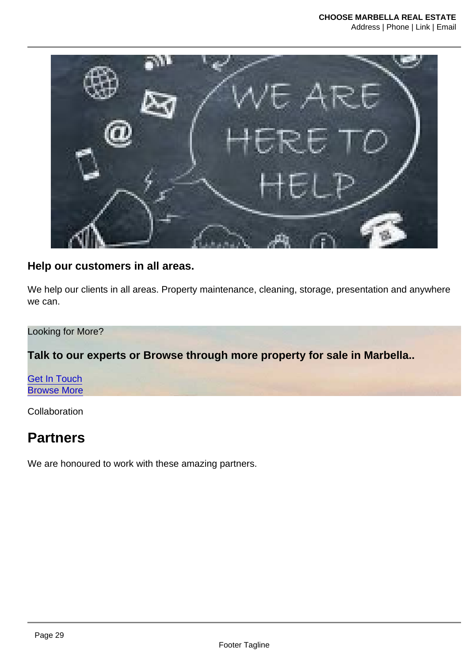Help our customers in all areas.

We help our clients in all areas. Property maintenance, cleaning, storage, presentation and anywhere we can.

Looking for More?

Talk to our experts or Browse through more property for sale in Marbella..

[Get In Touch](https://choosemarbella.com/contact-us/) [Browse More](https://choosemarbella.com/properties-search/)

Collaboration

### **Partners**

We are honoured to work with these amazing partners.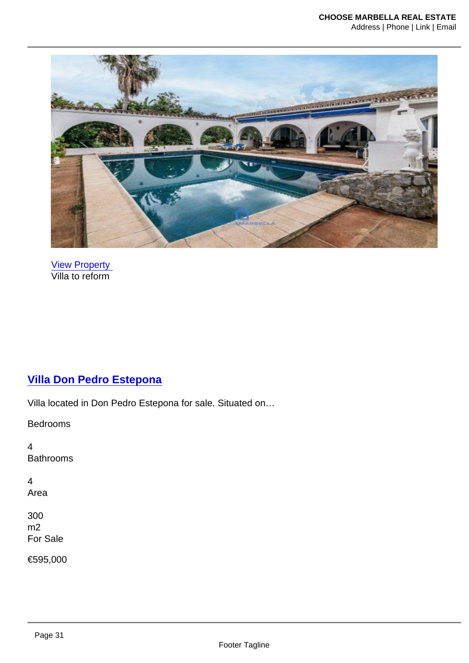[View Property](https://choosemarbella.com/property/villa-don-pedro-estepona/)  Villa to reform

### [Villa Don Pedro Estepona](https://choosemarbella.com/property/villa-don-pedro-estepona/)

Villa located in Don Pedro Estepona for sale. Situated on…

Bedrooms

4 Bathrooms

4 Area

300 m2 For Sale

€595,000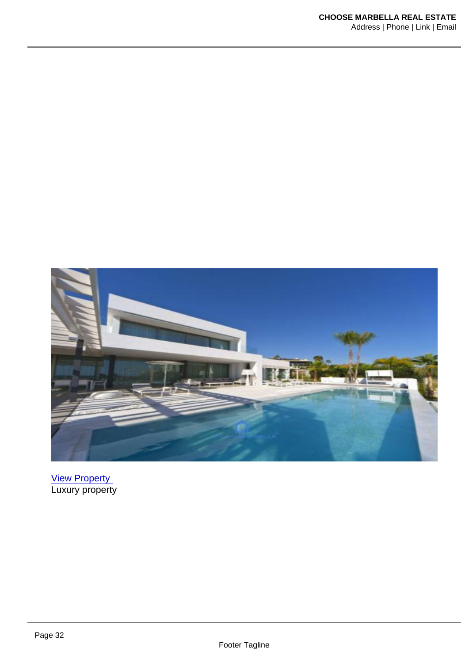[View Property](https://choosemarbella.com/property/villa-for-sale-bahia-de-marbella/)  Luxury property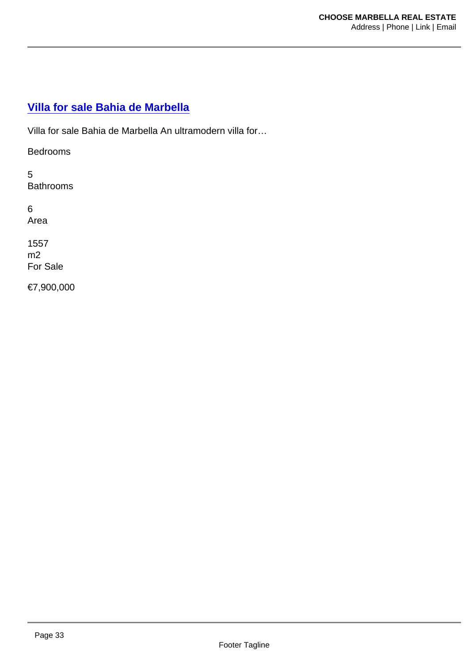#### [Villa for sale Bahia de Marbella](https://choosemarbella.com/property/villa-for-sale-bahia-de-marbella/)

Villa for sale Bahia de Marbella An ultramodern villa for…

Bedrooms

5 **Bathrooms** 

6 Area

1557 m2 For Sale

€7,900,000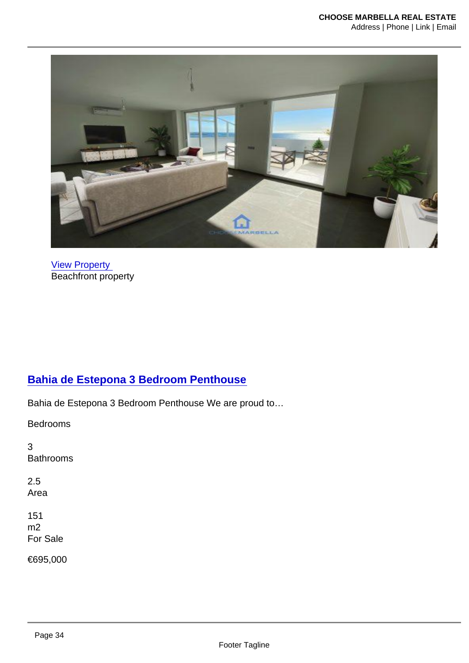[View Property](https://choosemarbella.com/property/bahia-de-estepona-3-bedroom-penthouse/)  Beachfront property

#### [Bahia de Estepona 3 Bedroom Penthouse](https://choosemarbella.com/property/bahia-de-estepona-3-bedroom-penthouse/)

Bahia de Estepona 3 Bedroom Penthouse We are proud to…

Bedrooms

3 Bathrooms

2.5 Area

151 m2 For Sale

€695,000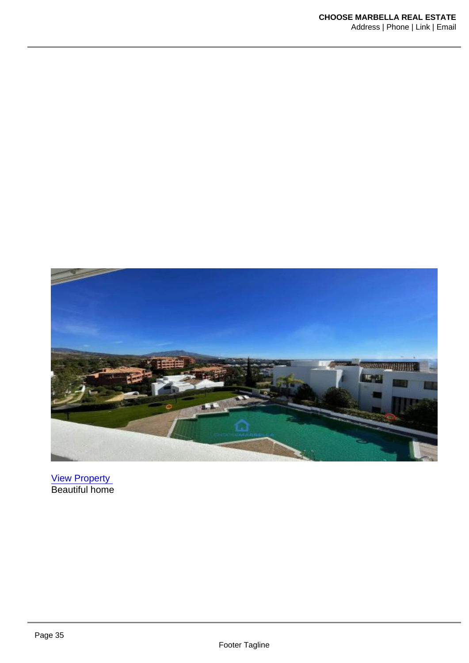[View Property](https://choosemarbella.com/property/alanda-de-los-flamingos/)  Beautiful home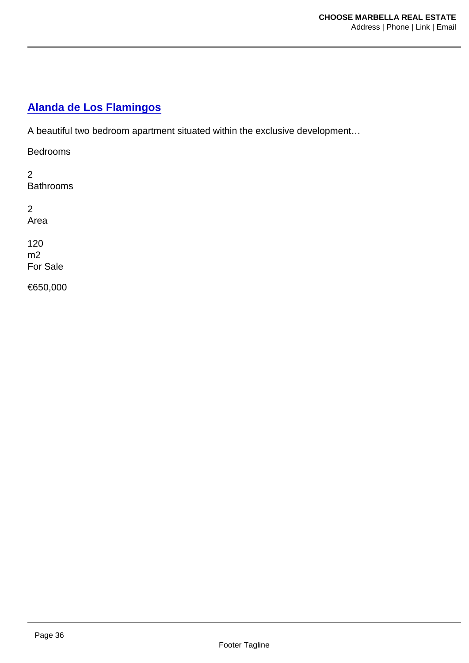#### [Alanda de Los Flamingos](https://choosemarbella.com/property/alanda-de-los-flamingos/)

A beautiful two bedroom apartment situated within the exclusive development…

Bedrooms

2 **Bathrooms** 

2 Area

120 m2 For Sale

€650,000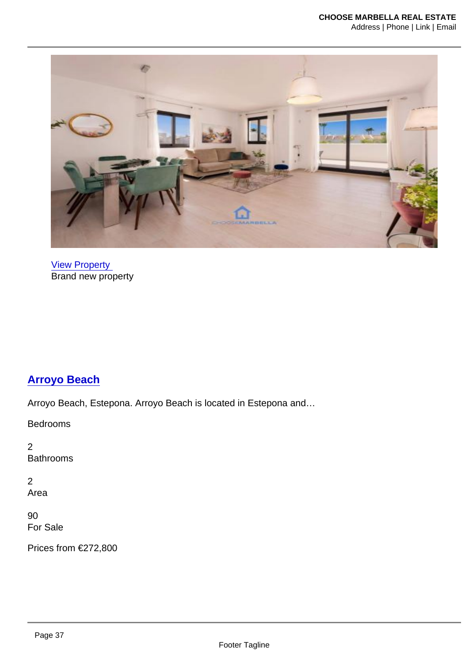[View Property](https://choosemarbella.com/property/arroyo-beach/)  **Brand new property** 

#### [Arroyo Beach](https://choosemarbella.com/property/arroyo-beach/)

Arroyo Beach, Estepona. Arroyo Beach is located in Estepona and…

Bedrooms

2 Bathrooms

2 Area

90 For Sale

Prices from €272,800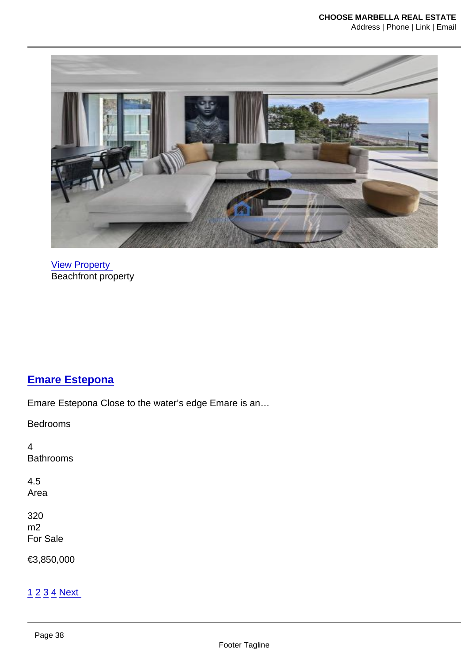[View Property](https://choosemarbella.com/property/emare-estepona/)  Beachfront property

### [Emare Estepona](https://choosemarbella.com/property/emare-estepona/)

Emare Estepona Close to the water's edge Emare is an…

Bedrooms

4 Bathrooms

4.5 Area

320 m2 For Sale

€3,850,000

#### [1](https://choosemarbella.com/wp-admin/admin-ajax.php) [2](https://choosemarbella.com/wp-admin/admin-ajax.php?paged=2) [3](https://choosemarbella.com/wp-admin/admin-ajax.php?paged=3) [4](https://choosemarbella.com/wp-admin/admin-ajax.php?paged=4) [Next](https://choosemarbella.com/wp-admin/admin-ajax.php?paged=2)